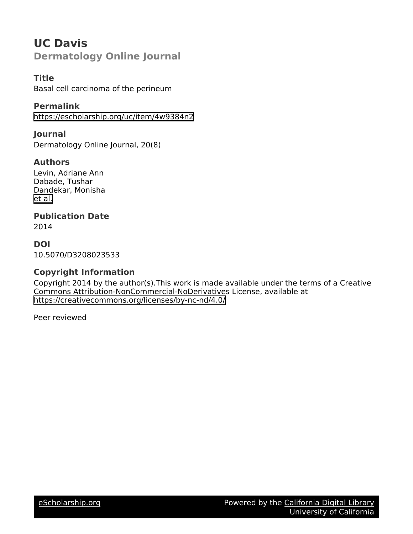# **UC Davis Dermatology Online Journal**

### **Title**

Basal cell carcinoma of the perineum

### **Permalink**

<https://escholarship.org/uc/item/4w9384n2>

**Journal** Dermatology Online Journal, 20(8)

### **Authors**

Levin, Adriane Ann Dabade, Tushar Dandekar, Monisha [et al.](https://escholarship.org/uc/item/4w9384n2#author)

## **Publication Date**

2014

**DOI** 10.5070/D3208023533

### **Copyright Information**

Copyright 2014 by the author(s).This work is made available under the terms of a Creative Commons Attribution-NonCommercial-NoDerivatives License, available at <https://creativecommons.org/licenses/by-nc-nd/4.0/>

Peer reviewed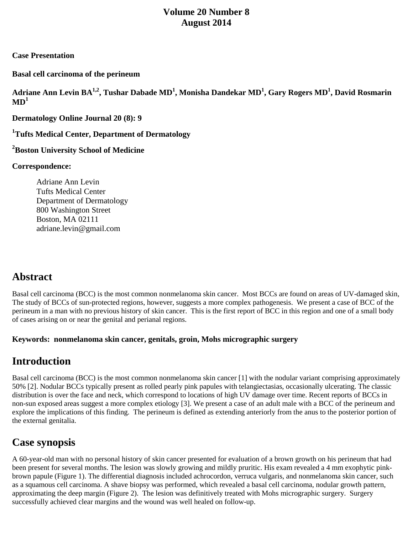## **Volume 20 Number 8 August 2014**

#### **Case Presentation**

**Basal cell carcinoma of the perineum**

**Adriane Ann Levin BA1,2, Tushar Dabade MD1 , Monisha Dandekar MD1 , Gary Rogers MD1 , David Rosmarin**  $MD<sup>1</sup>$ 

**Dermatology Online Journal 20 (8): 9**

**1 Tufts Medical Center, Department of Dermatology**

**2 Boston University School of Medicine**

#### **Correspondence:**

Adriane Ann Levin Tufts Medical Center Department of Dermatology 800 Washington Street Boston, MA 02111 [adriane.levin@gmail.com](mailto:adriane.levin@gmail.com)

# **Abstract**

Basal cell carcinoma (BCC) is the most common nonmelanoma skin cancer. Most BCCs are found on areas of UV-damaged skin, The study of BCCs of sun-protected regions, however, suggests a more complex pathogenesis. We present a case of BCC of the perineum in a man with no previous history of skin cancer. This is the first report of BCC in this region and one of a small body of cases arising on or near the genital and perianal regions.

#### **Keywords: nonmelanoma skin cancer, genitals, groin, Mohs micrographic surgery**

# **Introduction**

Basal cell carcinoma (BCC) is the most common nonmelanoma skin cancer [1] with the nodular variant comprising approximately 50% [2]. Nodular BCCs typically present as rolled pearly pink papules with telangiectasias, occasionally ulcerating. The classic distribution is over the face and neck, which correspond to locations of high UV damage over time. Recent reports of BCCs in non-sun exposed areas suggest a more complex etiology [3]. We present a case of an adult male with a BCC of the perineum and explore the implications of this finding. The perineum is defined as extending anteriorly from the anus to the posterior portion of the external genitalia.

# **Case synopsis**

A 60-year-old man with no personal history of skin cancer presented for evaluation of a brown growth on his perineum that had been present for several months. The lesion was slowly growing and mildly pruritic. His exam revealed a 4 mm exophytic pinkbrown papule (Figure 1). The differential diagnosis included achrocordon, verruca vulgaris, and nonmelanoma skin cancer, such as a squamous cell carcinoma. A shave biopsy was performed, which revealed a basal cell carcinoma, nodular growth pattern, approximating the deep margin (Figure 2). The lesion was definitively treated with Mohs micrographic surgery. Surgery successfully achieved clear margins and the wound was well healed on follow-up.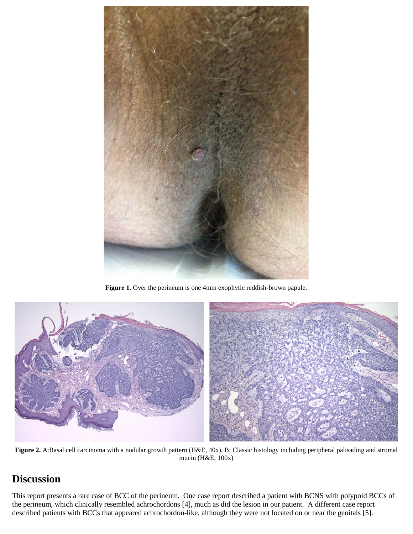

Figure 1. Over the perineum is one 4mm exophytic reddish-brown papule.



**Figure 2.** A:Basal cell carcinoma with a nodular growth pattern (H&E, 40x), B: Classic histology including peripheral palisading and stromal mucin (H&E, 100x)

## **Discussion**

This report presents a rare case of BCC of the perineum. One case report described a patient with BCNS with polypoid BCCs of the perineum, which clinically resembled achrochordons [4], much as did the lesion in our patient. A different case report described patients with BCCs that appeared achrochordon-like, although they were not located on or near the genitals [5].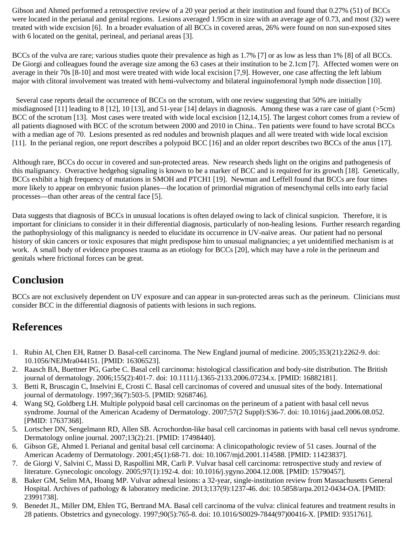Gibson and Ahmed performed a retrospective review of a 20 year period at their institution and found that 0.27% (51) of BCCs were located in the perianal and genital regions. Lesions averaged 1.95cm in size with an average age of 0.73, and most (32) were treated with wide excision [6]. In a broader evaluation of all BCCs in covered areas, 26% were found on non sun-exposed sites with 6 located on the genital, perineal, and perianal areas [3].

BCCs of the vulva are rare; various studies quote their prevalence as high as 1.7% [7] or as low as less than 1% [8] of all BCCs. De Giorgi and colleagues found the average size among the 63 cases at their institution to be 2.1cm [7]. Affected women were on average in their 70s [8-10] and most were treated with wide local excision [7,9]. However, one case affecting the left labium major with clitoral involvement was treated with hemi-vulvectomy and bilateral inguinofemoral lymph node dissection [10].

 Several case reports detail the occurrence of BCCs on the scrotum, with one review suggesting that 50% are initially misdiagnosed [11] leading to 8 [12], 10 [13], and 51-year [14] delays in diagnosis. Among these was a rare case of giant ( $>5cm$ ) BCC of the scrotum [13]. Most cases were treated with wide local excision [12,14,15]. The largest cohort comes from a review of all patients diagnosed with BCC of the scrotum between 2000 and 2010 in China.. Ten patients were found to have scrotal BCCs with a median age of 70. Lesions presented as red nodules and brownish plaques and all were treated with wide local excision [11]. In the perianal region, one report describes a polypoid BCC [16] and an older report describes two BCCs of the anus [17].

Although rare, BCCs do occur in covered and sun-protected areas. New research sheds light on the origins and pathogenesis of this malignancy. Overactive hedgehog signaling is known to be a marker of BCC and is required for its growth [18]. Genetically, BCCs exhibit a high frequency of mutations in SMOH and PTCH1 [19]. Newman and Leffell found that BCCs are four times more likely to appear on embryonic fusion planes—the location of primordial migration of mesenchymal cells into early facial processes—than other areas of the central face [5].

Data suggests that diagnosis of BCCs in unusual locations is often delayed owing to lack of clinical suspicion. Therefore, it is important for clinicians to consider it in their differential diagnosis, particularly of non-healing lesions. Further research regarding the pathophysiology of this malignancy is needed to elucidate its occurrence in UV-naïve areas. Our patient had no personal history of skin cancers or toxic exposures that might predispose him to unusual malignancies; a yet unidentified mechanism is at work. A small body of evidence proposes trauma as an etiology for BCCs [20], which may have a role in the perineum and genitals where frictional forces can be great.

## **Conclusion**

BCCs are not exclusively dependent on UV exposure and can appear in sun-protected areas such as the perineum. Clinicians must consider BCC in the differential diagnosis of patients with lesions in such regions.

## **References**

- 1. Rubin AI, Chen EH, Ratner D. Basal-cell carcinoma. The New England journal of medicine. 2005;353(21):2262-9. doi: 10.1056/NEJMra044151. [PMID: 16306523].
- 2. Raasch BA, Buettner PG, Garbe C. Basal cell carcinoma: histological classification and body-site distribution. The British journal of dermatology. 2006;155(2):401-7. doi: 10.1111/j.1365-2133.2006.07234.x. [PMID: 16882181].
- 3. Betti R, Bruscagin C, Inselvini E, Crosti C. Basal cell carcinomas of covered and unusual sites of the body. International journal of dermatology. 1997;36(7):503-5. [PMID: 9268746].
- 4. Wang SQ, Goldberg LH. Multiple polypoid basal cell carcinomas on the perineum of a patient with basal cell nevus syndrome. Journal of the American Academy of Dermatology. 2007;57(2 Suppl):S36-7. doi: 10.1016/j.jaad.2006.08.052. [PMID: 17637368].
- 5. Lortscher DN, Sengelmann RD, Allen SB. Acrochordon-like basal cell carcinomas in patients with basal cell nevus syndrome. Dermatology online journal. 2007;13(2):21. [PMID: 17498440].
- 6. Gibson GE, Ahmed I. Perianal and genital basal cell carcinoma: A clinicopathologic review of 51 cases. Journal of the American Academy of Dermatology. 2001;45(1):68-71. doi: 10.1067/mjd.2001.114588. [PMID: 11423837].
- 7. de Giorgi V, Salvini C, Massi D, Raspollini MR, Carli P. Vulvar basal cell carcinoma: retrospective study and review of literature. Gynecologic oncology. 2005;97(1):192-4. doi: 10.1016/j.ygyno.2004.12.008. [PMID: 15790457].
- 8. Baker GM, Selim MA, Hoang MP. Vulvar adnexal lesions: a 32-year, single-institution review from Massachusetts General Hospital. Archives of pathology & laboratory medicine. 2013;137(9):1237-46. doi: 10.5858/arpa.2012-0434-OA. [PMID: 23991738].
- 9. Benedet JL, Miller DM, Ehlen TG, Bertrand MA. Basal cell carcinoma of the vulva: clinical features and treatment results in 28 patients. Obstetrics and gynecology. 1997;90(5):765-8. doi: 10.1016/S0029-7844(97)00416-X. [PMID: 9351761].